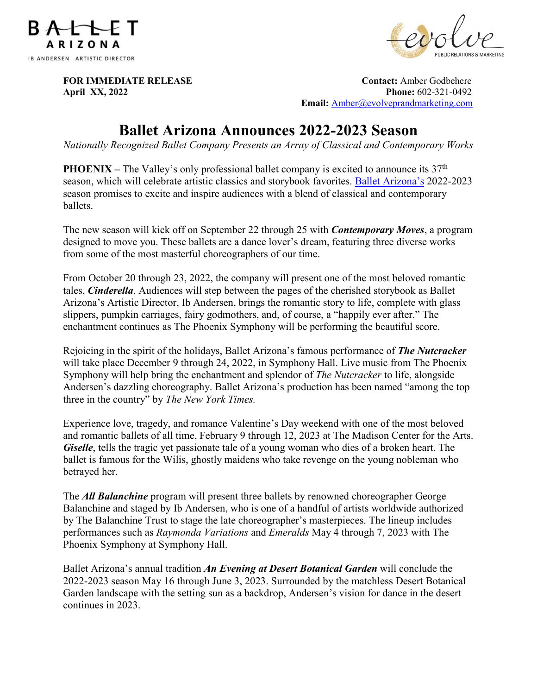



**FOR IMMEDIATE RELEASE CONTACT SERVICES** CONTACT: Amber Godbehere **April XX, 2022 Phone:**  $602-321-0492$  **Email:** [Amber@evolveprandmarketing.com](mailto:Amber@evolveprandmarketing.com)

# **Ballet Arizona Announces 2022-2023 Season**

*Nationally Recognized Ballet Company Presents an Array of Classical and Contemporary Works* 

**PHOENIX** – The Valley's only professional ballet company is excited to announce its 37<sup>th</sup> season, which will celebrate artistic classics and storybook favorites. [Ballet Arizona's](https://balletaz.org/) 2022-2023 season promises to excite and inspire audiences with a blend of classical and contemporary ballets.

The new season will kick off on September 22 through 25 with *Contemporary Moves*, a program designed to move you. These ballets are a dance lover's dream, featuring three diverse works from some of the most masterful choreographers of our time.

From October 20 through 23, 2022, the company will present one of the most beloved romantic tales, *Cinderella*. Audiences will step between the pages of the cherished storybook as Ballet Arizona's Artistic Director, Ib Andersen, brings the romantic story to life, complete with glass slippers, pumpkin carriages, fairy godmothers, and, of course, a "happily ever after." The enchantment continues as The Phoenix Symphony will be performing the beautiful score.

Rejoicing in the spirit of the holidays, Ballet Arizona's famous performance of *The Nutcracker* will take place December 9 through 24, 2022, in Symphony Hall. Live music from The Phoenix Symphony will help bring the enchantment and splendor of *The Nutcracker* to life, alongside Andersen's dazzling choreography. Ballet Arizona's production has been named "among the top three in the country" by *The New York Times.* 

Experience love, tragedy, and romance Valentine's Day weekend with one of the most beloved and romantic ballets of all time, February 9 through 12, 2023 at The Madison Center for the Arts. *Giselle*, tells the tragic yet passionate tale of a young woman who dies of a broken heart. The ballet is famous for the Wilis, ghostly maidens who take revenge on the young nobleman who betrayed her.

The *All Balanchine* program will present three ballets by renowned choreographer George Balanchine and staged by Ib Andersen, who is one of a handful of artists worldwide authorized by The Balanchine Trust to stage the late choreographer's masterpieces. The lineup includes performances such as *Raymonda Variations* and *Emeralds* May 4 through 7, 2023 with The Phoenix Symphony at Symphony Hall.

Ballet Arizona's annual tradition *An Evening at Desert Botanical Garden* will conclude the 2022-2023 season May 16 through June 3, 2023. Surrounded by the matchless Desert Botanical Garden landscape with the setting sun as a backdrop, Andersen's vision for dance in the desert continues in 2023.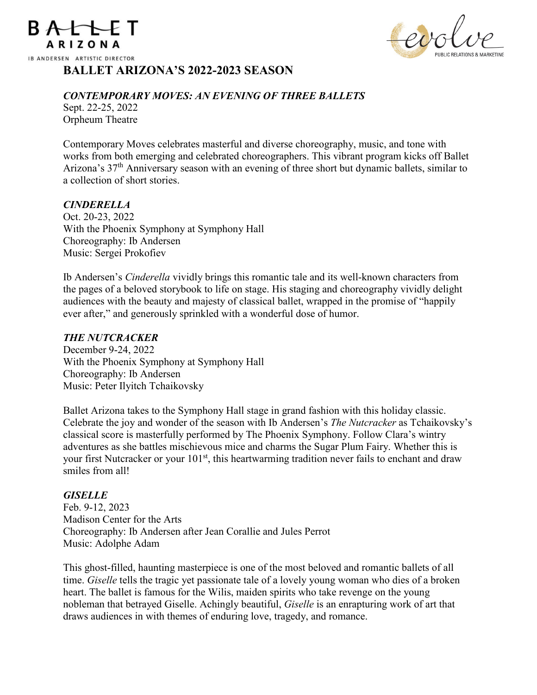



# **BALLET ARIZONA'S 2022-2023 SEASON**

#### *CONTEMPORARY MOVES: AN EVENING OF THREE BALLETS*

Sept. 22-25, 2022 Orpheum Theatre

Contemporary Moves celebrates masterful and diverse choreography, music, and tone with works from both emerging and celebrated choreographers. This vibrant program kicks off Ballet Arizona's 37<sup>th</sup> Anniversary season with an evening of three short but dynamic ballets, similar to a collection of short stories.

#### *CINDERELLA*

Oct. 20-23, 2022 With the Phoenix Symphony at Symphony Hall Choreography: Ib Andersen Music: Sergei Prokofiev

Ib Andersen's *Cinderella* vividly brings this romantic tale and its well-known characters from the pages of a beloved storybook to life on stage. His staging and choreography vividly delight audiences with the beauty and majesty of classical ballet, wrapped in the promise of "happily ever after," and generously sprinkled with a wonderful dose of humor.

#### *THE NUTCRACKER*

December 9-24, 2022 With the Phoenix Symphony at Symphony Hall Choreography: Ib Andersen Music: Peter Ilyitch Tchaikovsky

Ballet Arizona takes to the Symphony Hall stage in grand fashion with this holiday classic. Celebrate the joy and wonder of the season with Ib Andersen's *The Nutcracker* as Tchaikovsky's classical score is masterfully performed by The Phoenix Symphony. Follow Clara's wintry adventures as she battles mischievous mice and charms the Sugar Plum Fairy. Whether this is your first Nutcracker or your 101<sup>st</sup>, this heartwarming tradition never fails to enchant and draw smiles from all!

## *GISELLE*

Feb. 9-12, 2023 Madison Center for the Arts Choreography: Ib Andersen after Jean Corallie and Jules Perrot Music: Adolphe Adam

This ghost-filled, haunting masterpiece is one of the most beloved and romantic ballets of all time. *Giselle* tells the tragic yet passionate tale of a lovely young woman who dies of a broken heart. The ballet is famous for the Wilis, maiden spirits who take revenge on the young nobleman that betrayed Giselle. Achingly beautiful, *Giselle* is an enrapturing work of art that draws audiences in with themes of enduring love, tragedy, and romance.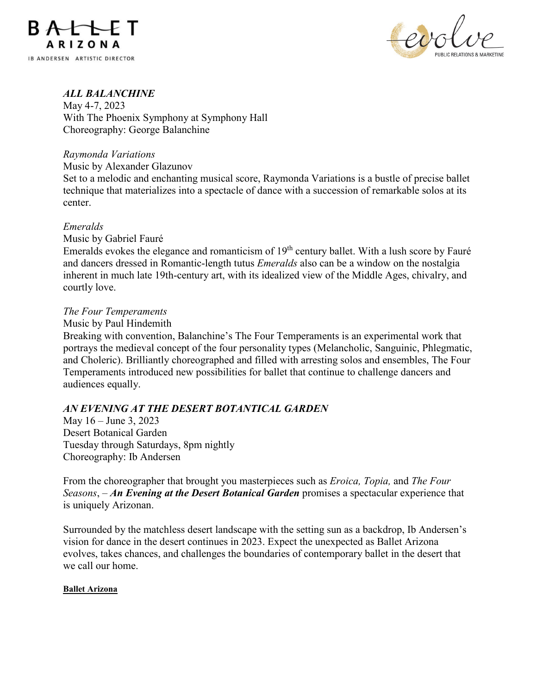



# *ALL BALANCHINE*

May 4-7, 2023 With The Phoenix Symphony at Symphony Hall Choreography: George Balanchine

#### *Raymonda Variations*

Music by Alexander Glazunov

Set to a melodic and enchanting musical score, Raymonda Variations is a bustle of precise ballet technique that materializes into a spectacle of dance with a succession of remarkable solos at its center.

#### *Emeralds*

Music by Gabriel Fauré

Emeralds evokes the elegance and romanticism of  $19<sup>th</sup>$  century ballet. With a lush score by Fauré and dancers dressed in Romantic-length tutus *Emeralds* also can be a window on the nostalgia inherent in much late 19th-century art, with its idealized view of the Middle Ages, chivalry, and courtly love.

#### *The Four Temperaments*

#### Music by Paul Hindemith

Breaking with convention, Balanchine's The Four Temperaments is an experimental work that portrays the medieval concept of the four personality types (Melancholic, Sanguinic, Phlegmatic, and Choleric). Brilliantly choreographed and filled with arresting solos and ensembles, The Four Temperaments introduced new possibilities for ballet that continue to challenge dancers and audiences equally.

## *AN EVENING AT THE DESERT BOTANTICAL GARDEN*

May 16 – June 3, 2023 Desert Botanical Garden Tuesday through Saturdays, 8pm nightly Choreography: Ib Andersen

From the choreographer that brought you masterpieces such as *Eroica, Topia,* and *The Four Seasons*, – *An Evening at the Desert Botanical Garden* promises a spectacular experience that is uniquely Arizonan.

Surrounded by the matchless desert landscape with the setting sun as a backdrop, Ib Andersen's vision for dance in the desert continues in 2023. Expect the unexpected as Ballet Arizona evolves, takes chances, and challenges the boundaries of contemporary ballet in the desert that we call our home.

#### **Ballet Arizona**